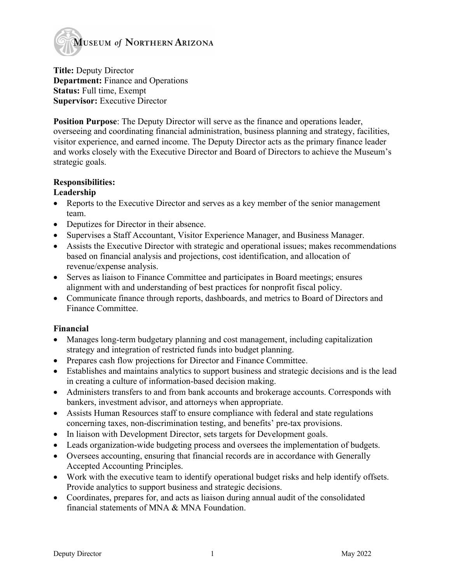

**Title:** Deputy Director **Department:** Finance and Operations **Status:** Full time, Exempt **Supervisor:** Executive Director

**Position Purpose**: The Deputy Director will serve as the finance and operations leader, overseeing and coordinating financial administration, business planning and strategy, facilities, visitor experience, and earned income. The Deputy Director acts as the primary finance leader and works closely with the Executive Director and Board of Directors to achieve the Museum's strategic goals.

# **Responsibilities:**

# **Leadership**

- Reports to the Executive Director and serves as a key member of the senior management team.
- Deputizes for Director in their absence.
- Supervises a Staff Accountant, Visitor Experience Manager, and Business Manager.
- Assists the Executive Director with strategic and operational issues; makes recommendations based on financial analysis and projections, cost identification, and allocation of revenue/expense analysis.
- Serves as liaison to Finance Committee and participates in Board meetings; ensures alignment with and understanding of best practices for nonprofit fiscal policy.
- Communicate finance through reports, dashboards, and metrics to Board of Directors and Finance Committee.

# **Financial**

- Manages long-term budgetary planning and cost management, including capitalization strategy and integration of restricted funds into budget planning.
- Prepares cash flow projections for Director and Finance Committee.
- Establishes and maintains analytics to support business and strategic decisions and is the lead in creating a culture of information-based decision making.
- Administers transfers to and from bank accounts and brokerage accounts. Corresponds with bankers, investment advisor, and attorneys when appropriate.
- Assists Human Resources staff to ensure compliance with federal and state regulations concerning taxes, non-discrimination testing, and benefits' pre-tax provisions.
- In liaison with Development Director, sets targets for Development goals.
- Leads organization-wide budgeting process and oversees the implementation of budgets.
- Oversees accounting, ensuring that financial records are in accordance with Generally Accepted Accounting Principles.
- Work with the executive team to identify operational budget risks and help identify offsets. Provide analytics to support business and strategic decisions.
- Coordinates, prepares for, and acts as liaison during annual audit of the consolidated financial statements of MNA & MNA Foundation.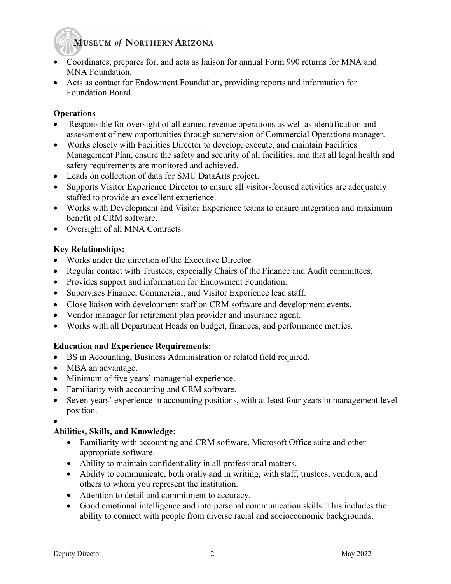# **MUSEUM of NORTHERN ARIZONA**

- Coordinates, prepares for, and acts as liaison for annual Form 990 returns for MNA and MNA Foundation.
- Acts as contact for Endowment Foundation, providing reports and information for Foundation Board.

#### **Operations**

- Responsible for oversight of all earned revenue operations as well as identification and assessment of new opportunities through supervision of Commercial Operations manager.
- Works closely with Facilities Director to develop, execute, and maintain Facilities Management Plan, ensure the safety and security of all facilities, and that all legal health and safety requirements are monitored and achieved.
- Leads on collection of data for SMU DataArts project.
- Supports Visitor Experience Director to ensure all visitor-focused activities are adequately staffed to provide an excellent experience.
- Works with Development and Visitor Experience teams to ensure integration and maximum benefit of CRM software.
- Oversight of all MNA Contracts.

# **Key Relationships:**

- Works under the direction of the Executive Director.
- Regular contact with Trustees, especially Chairs of the Finance and Audit committees.
- Provides support and information for Endowment Foundation.
- Supervises Finance, Commercial, and Visitor Experience lead staff.
- Close liaison with development staff on CRM software and development events.
- Vendor manager for retirement plan provider and insurance agent.
- Works with all Department Heads on budget, finances, and performance metrics.

# **Education and Experience Requirements:**

- BS in Accounting, Business Administration or related field required.
- MBA an advantage.
- Minimum of five years' managerial experience.
- Familiarity with accounting and CRM software.
- Seven years' experience in accounting positions, with at least four years in management level position.
- •

#### **Abilities, Skills, and Knowledge:**

- Familiarity with accounting and CRM software, Microsoft Office suite and other appropriate software.
- Ability to maintain confidentiality in all professional matters.
- Ability to communicate, both orally and in writing, with staff, trustees, vendors, and others to whom you represent the institution.
- Attention to detail and commitment to accuracy.
- Good emotional intelligence and interpersonal communication skills. This includes the ability to connect with people from diverse racial and socioeconomic backgrounds.